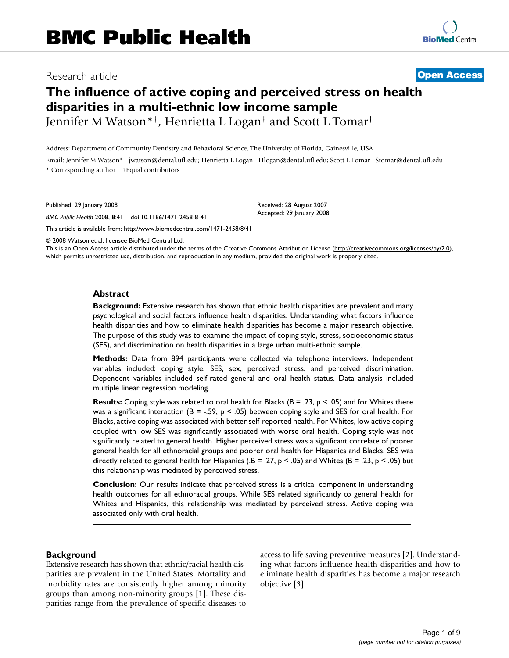## Research article **[Open Access](http://www.biomedcentral.com/info/about/charter/)**

# **The influence of active coping and perceived stress on health disparities in a multi-ethnic low income sample** Jennifer M Watson\*†, Henrietta L Logan† and Scott L Tomar†

Address: Department of Community Dentistry and Behavioral Science, The University of Florida, Gainesville, USA Email: Jennifer M Watson\* - jwatson@dental.ufl.edu; Henrietta L Logan - Hlogan@dental.ufl.edu; Scott L Tomar - Stomar@dental.ufl.edu \* Corresponding author †Equal contributors

Published: 29 January 2008

*BMC Public Health* 2008, **8**:41 doi:10.1186/1471-2458-8-41

[This article is available from: http://www.biomedcentral.com/1471-2458/8/41](http://www.biomedcentral.com/1471-2458/8/41)

© 2008 Watson et al; licensee BioMed Central Ltd.

This is an Open Access article distributed under the terms of the Creative Commons Attribution License [\(http://creativecommons.org/licenses/by/2.0\)](http://creativecommons.org/licenses/by/2.0), which permits unrestricted use, distribution, and reproduction in any medium, provided the original work is properly cited.

Received: 28 August 2007 Accepted: 29 January 2008

#### **Abstract**

**Background:** Extensive research has shown that ethnic health disparities are prevalent and many psychological and social factors influence health disparities. Understanding what factors influence health disparities and how to eliminate health disparities has become a major research objective. The purpose of this study was to examine the impact of coping style, stress, socioeconomic status (SES), and discrimination on health disparities in a large urban multi-ethnic sample.

**Methods:** Data from 894 participants were collected via telephone interviews. Independent variables included: coping style, SES, sex, perceived stress, and perceived discrimination. Dependent variables included self-rated general and oral health status. Data analysis included multiple linear regression modeling.

**Results:** Coping style was related to oral health for Blacks ( $B = .23$ ,  $p < .05$ ) and for Whites there was a significant interaction (B = -.59,  $p < .05$ ) between coping style and SES for oral health. For Blacks, active coping was associated with better self-reported health. For Whites, low active coping coupled with low SES was significantly associated with worse oral health. Coping style was not significantly related to general health. Higher perceived stress was a significant correlate of poorer general health for all ethnoracial groups and poorer oral health for Hispanics and Blacks. SES was directly related to general health for Hispanics (.B = .27, p < .05) and Whites (B = .23, p < .05) but this relationship was mediated by perceived stress.

**Conclusion:** Our results indicate that perceived stress is a critical component in understanding health outcomes for all ethnoracial groups. While SES related significantly to general health for Whites and Hispanics, this relationship was mediated by perceived stress. Active coping was associated only with oral health.

#### **Background**

Extensive research has shown that ethnic/racial health disparities are prevalent in the United States. Mortality and morbidity rates are consistently higher among minority groups than among non-minority groups [1]. These disparities range from the prevalence of specific diseases to

access to life saving preventive measures [2]. Understanding what factors influence health disparities and how to eliminate health disparities has become a major research objective [3].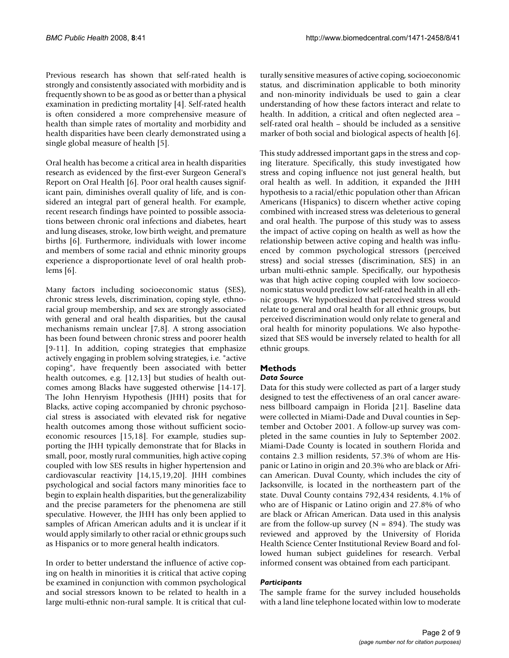Previous research has shown that self-rated health is strongly and consistently associated with morbidity and is frequently shown to be as good as or better than a physical examination in predicting mortality [4]. Self-rated health is often considered a more comprehensive measure of health than simple rates of mortality and morbidity and health disparities have been clearly demonstrated using a single global measure of health [5].

Oral health has become a critical area in health disparities research as evidenced by the first-ever Surgeon General's Report on Oral Health [6]. Poor oral health causes significant pain, diminishes overall quality of life, and is considered an integral part of general health. For example, recent research findings have pointed to possible associations between chronic oral infections and diabetes, heart and lung diseases, stroke, low birth weight, and premature births [6]. Furthermore, individuals with lower income and members of some racial and ethnic minority groups experience a disproportionate level of oral health problems [6].

Many factors including socioeconomic status (SES), chronic stress levels, discrimination, coping style, ethnoracial group membership, and sex are strongly associated with general and oral health disparities, but the causal mechanisms remain unclear [7,8]. A strong association has been found between chronic stress and poorer health [9-11]. In addition, coping strategies that emphasize actively engaging in problem solving strategies, i.e. "active coping", have frequently been associated with better health outcomes, e.g. [12,13] but studies of health outcomes among Blacks have suggested otherwise [14-17]. The John Henryism Hypothesis (JHH) posits that for Blacks, active coping accompanied by chronic psychosocial stress is associated with elevated risk for negative health outcomes among those without sufficient socioeconomic resources [15,18]. For example, studies supporting the JHH typically demonstrate that for Blacks in small, poor, mostly rural communities, high active coping coupled with low SES results in higher hypertension and cardiovascular reactivity [14,15,19,20]. JHH combines psychological and social factors many minorities face to begin to explain health disparities, but the generalizability and the precise parameters for the phenomena are still speculative. However, the JHH has only been applied to samples of African American adults and it is unclear if it would apply similarly to other racial or ethnic groups such as Hispanics or to more general health indicators.

In order to better understand the influence of active coping on health in minorities it is critical that active coping be examined in conjunction with common psychological and social stressors known to be related to health in a large multi-ethnic non-rural sample. It is critical that culturally sensitive measures of active coping, socioeconomic status, and discrimination applicable to both minority and non-minority individuals be used to gain a clear understanding of how these factors interact and relate to health. In addition, a critical and often neglected area – self-rated oral health – should be included as a sensitive marker of both social and biological aspects of health [6].

This study addressed important gaps in the stress and coping literature. Specifically, this study investigated how stress and coping influence not just general health, but oral health as well. In addition, it expanded the JHH hypothesis to a racial/ethic population other than African Americans (Hispanics) to discern whether active coping combined with increased stress was deleterious to general and oral health. The purpose of this study was to assess the impact of active coping on health as well as how the relationship between active coping and health was influenced by common psychological stressors (perceived stress) and social stresses (discrimination, SES) in an urban multi-ethnic sample. Specifically, our hypothesis was that high active coping coupled with low socioeconomic status would predict low self-rated health in all ethnic groups. We hypothesized that perceived stress would relate to general and oral health for all ethnic groups, but perceived discrimination would only relate to general and oral health for minority populations. We also hypothesized that SES would be inversely related to health for all ethnic groups.

## **Methods**

## *Data Source*

Data for this study were collected as part of a larger study designed to test the effectiveness of an oral cancer awareness billboard campaign in Florida [21]. Baseline data were collected in Miami-Dade and Duval counties in September and October 2001. A follow-up survey was completed in the same counties in July to September 2002. Miami-Dade County is located in southern Florida and contains 2.3 million residents, 57.3% of whom are Hispanic or Latino in origin and 20.3% who are black or African American. Duval County, which includes the city of Jacksonville, is located in the northeastern part of the state. Duval County contains 792,434 residents, 4.1% of who are of Hispanic or Latino origin and 27.8% of who are black or African American. Data used in this analysis are from the follow-up survey ( $N = 894$ ). The study was reviewed and approved by the University of Florida Health Science Center Institutional Review Board and followed human subject guidelines for research. Verbal informed consent was obtained from each participant.

## *Participants*

The sample frame for the survey included households with a land line telephone located within low to moderate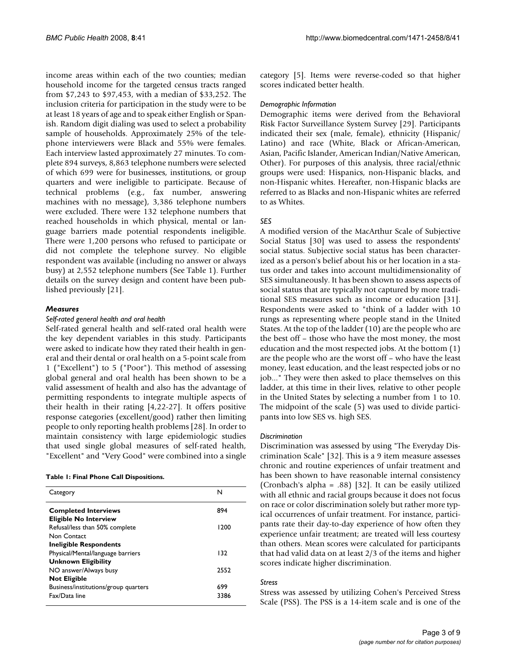income areas within each of the two counties; median household income for the targeted census tracts ranged from \$7,243 to \$97,453, with a median of \$33,252. The inclusion criteria for participation in the study were to be at least 18 years of age and to speak either English or Spanish. Random digit dialing was used to select a probability sample of households. Approximately 25% of the telephone interviewers were Black and 55% were females. Each interview lasted approximately 27 minutes. To complete 894 surveys, 8,863 telephone numbers were selected of which 699 were for businesses, institutions, or group quarters and were ineligible to participate. Because of technical problems (e.g., fax number, answering machines with no message), 3,386 telephone numbers were excluded. There were 132 telephone numbers that reached households in which physical, mental or language barriers made potential respondents ineligible. There were 1,200 persons who refused to participate or did not complete the telephone survey. No eligible respondent was available (including no answer or always busy) at 2,552 telephone numbers (See Table 1). Further details on the survey design and content have been published previously [21].

#### *Measures*

#### *Self-rated general health and oral health*

Self-rated general health and self-rated oral health were the key dependent variables in this study. Participants were asked to indicate how they rated their health in general and their dental or oral health on a 5-point scale from 1 ("Excellent") to 5 ("Poor"). This method of assessing global general and oral health has been shown to be a valid assessment of health and also has the advantage of permitting respondents to integrate multiple aspects of their health in their rating [4,22-27]. It offers positive response categories (excellent/good) rather then limiting people to only reporting health problems [28]. In order to maintain consistency with large epidemiologic studies that used single global measures of self-rated health, "Excellent" and "Very Good" were combined into a single

| Category                             | N    |
|--------------------------------------|------|
| <b>Completed Interviews</b>          | 894  |
| <b>Eligible No Interview</b>         |      |
| Refusal/less than 50% complete       | 1200 |
| Non Contact                          |      |
| <b>Ineligible Respondents</b>        |      |
| Physical/Mental/language barriers    | 132  |
| <b>Unknown Eligibility</b>           |      |
| NO answer/Always busy                | 2552 |
| <b>Not Eligible</b>                  |      |
| Business/institutions/group quarters | 699  |
| Fax/Data line                        | 3386 |

category [5]. Items were reverse-coded so that higher scores indicated better health.

#### *Demographic Information*

Demographic items were derived from the Behavioral Risk Factor Surveillance System Survey [29]. Participants indicated their sex (male, female), ethnicity (Hispanic/ Latino) and race (White, Black or African-American, Asian, Pacific Islander, American Indian/Native American, Other). For purposes of this analysis, three racial/ethnic groups were used: Hispanics, non-Hispanic blacks, and non-Hispanic whites. Hereafter, non-Hispanic blacks are referred to as Blacks and non-Hispanic whites are referred to as Whites.

## *SES*

A modified version of the MacArthur Scale of Subjective Social Status [30] was used to assess the respondents' social status. Subjective social status has been characterized as a person's belief about his or her location in a status order and takes into account multidimensionality of SES simultaneously. It has been shown to assess aspects of social status that are typically not captured by more traditional SES measures such as income or education [31]. Respondents were asked to "think of a ladder with 10 rungs as representing where people stand in the United States. At the top of the ladder (10) are the people who are the best off – those who have the most money, the most education and the most respected jobs. At the bottom (1) are the people who are the worst off – who have the least money, least education, and the least respected jobs or no job..." They were then asked to place themselves on this ladder, at this time in their lives, relative to other people in the United States by selecting a number from 1 to 10. The midpoint of the scale (5) was used to divide participants into low SES vs. high SES.

#### *Discrimination*

Discrimination was assessed by using "The Everyday Discrimination Scale" [32]. This is a 9 item measure assesses chronic and routine experiences of unfair treatment and has been shown to have reasonable internal consistency (Cronbach's alpha = .88) [32]. It can be easily utilized with all ethnic and racial groups because it does not focus on race or color discrimination solely but rather more typical occurrences of unfair treatment. For instance, participants rate their day-to-day experience of how often they experience unfair treatment; are treated will less courtesy than others. Mean scores were calculated for participants that had valid data on at least 2/3 of the items and higher scores indicate higher discrimination.

## *Stress*

Stress was assessed by utilizing Cohen's Perceived Stress Scale (PSS). The PSS is a 14-item scale and is one of the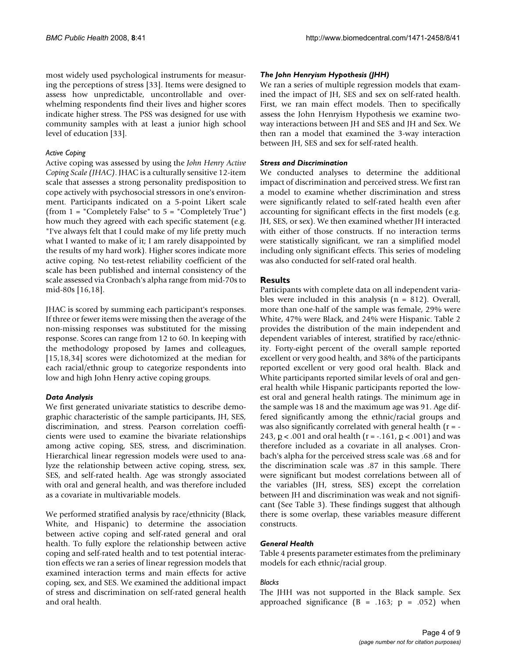most widely used psychological instruments for measuring the perceptions of stress [33]. Items were designed to assess how unpredictable, uncontrollable and overwhelming respondents find their lives and higher scores indicate higher stress. The PSS was designed for use with community samples with at least a junior high school level of education [33].

#### *Active Coping*

Active coping was assessed by using the *John Henry Active Coping Scale (JHAC)*. JHAC is a culturally sensitive 12-item scale that assesses a strong personality predisposition to cope actively with psychosocial stressors in one's environment. Participants indicated on a 5-point Likert scale (from 1 = "Completely False" to 5 = "Completely True") how much they agreed with each specific statement (e.g. "I've always felt that I could make of my life pretty much what I wanted to make of it; I am rarely disappointed by the results of my hard work). Higher scores indicate more active coping. No test-retest reliability coefficient of the scale has been published and internal consistency of the scale assessed via Cronbach's alpha range from mid-70s to mid-80s [16,18].

JHAC is scored by summing each participant's responses. If three or fewer items were missing then the average of the non-missing responses was substituted for the missing response. Scores can range from 12 to 60. In keeping with the methodology proposed by James and colleagues, [15,18,34] scores were dichotomized at the median for each racial/ethnic group to categorize respondents into low and high John Henry active coping groups.

## *Data Analysis*

We first generated univariate statistics to describe demographic characteristic of the sample participants, JH, SES, discrimination, and stress. Pearson correlation coefficients were used to examine the bivariate relationships among active coping, SES, stress, and discrimination. Hierarchical linear regression models were used to analyze the relationship between active coping, stress, sex, SES, and self-rated health. Age was strongly associated with oral and general health, and was therefore included as a covariate in multivariable models.

We performed stratified analysis by race/ethnicity (Black, White, and Hispanic) to determine the association between active coping and self-rated general and oral health. To fully explore the relationship between active coping and self-rated health and to test potential interaction effects we ran a series of linear regression models that examined interaction terms and main effects for active coping, sex, and SES. We examined the additional impact of stress and discrimination on self-rated general health and oral health.

### *The John Henryism Hypothesis (JHH)*

We ran a series of multiple regression models that examined the impact of JH, SES and sex on self-rated health. First, we ran main effect models. Then to specifically assess the John Henryism Hypothesis we examine twoway interactions between JH and SES and JH and Sex. We then ran a model that examined the 3-way interaction between JH, SES and sex for self-rated health.

### *Stress and Discrimination*

We conducted analyses to determine the additional impact of discrimination and perceived stress. We first ran a model to examine whether discrimination and stress were significantly related to self-rated health even after accounting for significant effects in the first models (e.g. JH, SES, or sex). We then examined whether JH interacted with either of those constructs. If no interaction terms were statistically significant, we ran a simplified model including only significant effects. This series of modeling was also conducted for self-rated oral health.

## **Results**

Participants with complete data on all independent variables were included in this analysis  $(n = 812)$ . Overall, more than one-half of the sample was female, 29% were White, 47% were Black, and 24% were Hispanic. Table 2 provides the distribution of the main independent and dependent variables of interest, stratified by race/ethnicity. Forty-eight percent of the overall sample reported excellent or very good health, and 38% of the participants reported excellent or very good oral health. Black and White participants reported similar levels of oral and general health while Hispanic participants reported the lowest oral and general health ratings. The minimum age in the sample was 18 and the maximum age was 91. Age differed significantly among the ethnic/racial groups and was also significantly correlated with general health  $(r = -$ 243,  $p < .001$  and oral health (r = -.161,  $p < .001$ ) and was therefore included as a covariate in all analyses. Cronbach's alpha for the perceived stress scale was .68 and for the discrimination scale was .87 in this sample. There were significant but modest correlations between all of the variables (JH, stress, SES) except the correlation between JH and discrimination was weak and not significant (See Table 3). These findings suggest that although there is some overlap, these variables measure different constructs.

#### *General Health*

Table 4 presents parameter estimates from the preliminary models for each ethnic/racial group.

#### *Blacks*

The JHH was not supported in the Black sample. Sex approached significance ( $B = .163$ ;  $p = .052$ ) when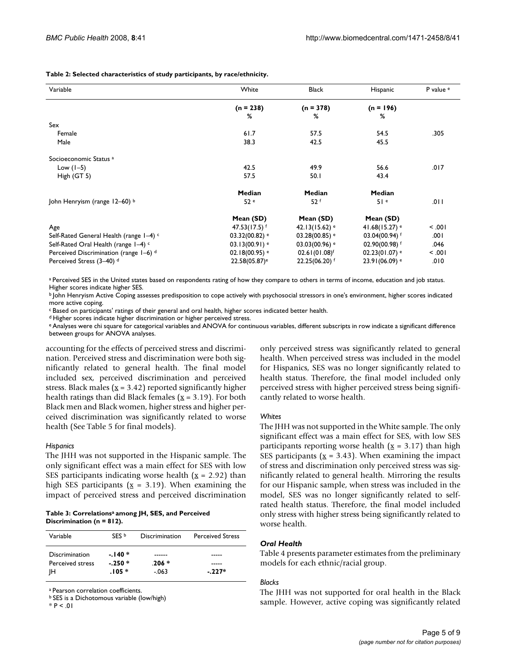**Table 2: Selected characteristics of study participants, by race/ethnicity.**

| Variable                                | White                       | <b>Black</b>                 | Hispanic                     | P value <sup>e</sup> |
|-----------------------------------------|-----------------------------|------------------------------|------------------------------|----------------------|
|                                         | $(n = 238)$                 | $(n = 378)$                  | $(n = 196)$                  |                      |
|                                         | %                           | %                            | %                            |                      |
| Sex                                     |                             |                              |                              |                      |
| Female                                  | 61.7                        | 57.5                         | 54.5                         | .305                 |
| Male                                    | 38.3                        | 42.5                         | 45.5                         |                      |
| Socioeconomic Status <sup>a</sup>       |                             |                              |                              |                      |
| Low $(1-5)$                             | 42.5                        | 49.9                         | 56.6                         | .017                 |
| High $(GT5)$                            | 57.5                        | 50.1                         | 43.4                         |                      |
|                                         | <b>Median</b>               | <b>Median</b>                | <b>Median</b>                |                      |
| John Henryism (range 12-60) b           | 52e                         | 52 <sup>f</sup>              | 51 <sup>e</sup>              | .011                 |
|                                         | Mean (SD)                   | Mean (SD)                    | Mean (SD)                    |                      |
| Age                                     | $47.53(17.5)$ f             | 42.13 $(15.62)$ <sup>e</sup> | 41.68 $(15.27)$ <sup>e</sup> | $-0.01$              |
| Self-Rated General Health (range 1-4) c | $03.32(00.82)$ e            | $03.28(00.85)$ <sup>e</sup>  | 03.04(00.94) f               | .001                 |
| Self-Rated Oral Health (range 1-4) c    | $03.13(00.91)$ e            | $03.03(00.96)$ e             | 02.90(00.98) f               | .046                 |
| Perceived Discrimination (range 1-6) d  | 02.18(00.95) $e$            | $02.61(01.08)^f$             | $02.23(01.07)$ <sup>e</sup>  | $-0.01$              |
| Perceived Stress (3-40) <sup>d</sup>    | $22.58(05.87)$ <sup>e</sup> | 22.25(06.20) f               | $23.91(06.09)$ <sup>e</sup>  | .010                 |

a Perceived SES in the United states based on respondents rating of how they compare to others in terms of income, education and job status. Higher scores indicate higher SES.

<sup>b</sup> John Henryism Active Coping assesses predisposition to cope actively with psychosocial stressors in one's environment, higher scores indicated more active coping.

c Based on participants' ratings of their general and oral health, higher scores indicated better health.

<sup>d</sup> Higher scores indicate higher discrimination or higher perceived stress.

e Analyses were chi square for categorical variables and ANOVA for continuous variables, different subscripts in row indicate a significant difference between groups for ANOVA analyses.

accounting for the effects of perceived stress and discrimination. Perceived stress and discrimination were both significantly related to general health. The final model included sex, perceived discrimination and perceived stress. Black males ( $x = 3.42$ ) reported significantly higher health ratings than did Black females ( $\underline{x} = 3.19$ ). For both Black men and Black women, higher stress and higher perceived discrimination was significantly related to worse health (See Table 5 for final models).

#### *Hispanics*

The JHH was not supported in the Hispanic sample. The only significant effect was a main effect for SES with low SES participants indicating worse health  $(x = 2.92)$  than high SES participants ( $\underline{x} = 3.19$ ). When examining the impact of perceived stress and perceived discrimination

#### **Table 3: Correlationsa among JH, SES, and Perceived Discrimination (n = 812).**

| Variable                                  | SES <sup>b</sup>     | Discrimination | <b>Perceived Stress</b> |
|-------------------------------------------|----------------------|----------------|-------------------------|
| Discrimination<br><b>Perceived stress</b> | $-.140*$<br>$-.250*$ | .206 *         |                         |
| IН                                        | $.105*$              | $-063$         | $-227*$                 |

a Pearson correlation coefficients.

**b SES** is a Dichotomous variable (low/high)

 $* P < .01$ 

only perceived stress was significantly related to general health. When perceived stress was included in the model for Hispanics, SES was no longer significantly related to health status. Therefore, the final model included only perceived stress with higher perceived stress being significantly related to worse health.

#### *Whites*

The JHH was not supported in the White sample. The only significant effect was a main effect for SES, with low SES participants reporting worse health ( $x = 3.17$ ) than high SES participants ( $\underline{x}$  = 3.43). When examining the impact of stress and discrimination only perceived stress was significantly related to general health. Mirroring the results for our Hispanic sample, when stress was included in the model, SES was no longer significantly related to selfrated health status. Therefore, the final model included only stress with higher stress being significantly related to worse health.

#### *Oral Health*

Table 4 presents parameter estimates from the preliminary models for each ethnic/racial group.

#### *Blacks*

The JHH was not supported for oral health in the Black sample. However, active coping was significantly related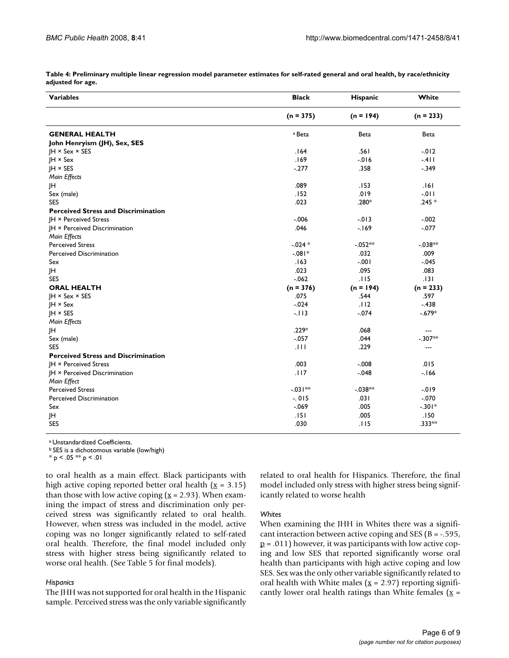**Table 4: Preliminary multiple linear regression model parameter estimates for self-rated general and oral health, by race/ethnicity adjusted for age.**

| <b>Variables</b>                           | <b>Black</b>      | Hispanic    | White                |
|--------------------------------------------|-------------------|-------------|----------------------|
|                                            | $(n = 375)$       | $(n = 194)$ | $(n = 233)$          |
| <b>GENERAL HEALTH</b>                      | <sup>a</sup> Beta | Beta        | Beta                 |
| John Henryism (JH), Sex, SES               |                   |             |                      |
| $IH \times Sex \times SES$                 | .164              | .561        | $-012$               |
| $ H \times$ Sex                            | .169              | $-016$      | $-411$               |
| $IH \times$ SES                            | $-277$            | .358        | $-.349$              |
| Main Effects                               |                   |             |                      |
| JH                                         | .089              | .153        | .161                 |
| Sex (male)                                 | .152              | .019        | $-011$               |
| <b>SES</b>                                 | .023              | $.280*$     | $.245*$              |
| <b>Perceived Stress and Discrimination</b> |                   |             |                      |
| <b>IH × Perceived Stress</b>               | $-0.06$           | $-013$      | $-.002$              |
| JH × Perceived Discrimination              | .046              | $-169$      | $-0.077$             |
| Main Effects                               |                   |             |                      |
| <b>Perceived Stress</b>                    | $-0.024*$         | $-0.052**$  | $-0.038**$           |
| <b>Perceived Discrimination</b>            | $-0.081*$         | .032        | .009                 |
| Sex                                        | .163              | $-0.01$     | $-0.045$             |
| JH                                         | .023              | .095        | .083                 |
| <b>SES</b>                                 | $-0.62$           | .115        | .131                 |
| <b>ORAL HEALTH</b>                         | $(n = 376)$       | $(n = 194)$ | $(n = 233)$          |
| $IH \times Sex \times SES$                 | .075              | .544        | .597                 |
| $IH \times Sex$                            | $-0.024$          | .112        | $-.438$              |
| $IH \times$ SES                            | $-113$            | $-0.074$    | $-.679*$             |
| Main Effects                               |                   |             |                      |
| JH                                         | $.229*$           | .068        | $\frac{1}{2}$        |
| Sex (male)                                 | $-0.057$          | .044        | $-.307**$            |
| <b>SES</b>                                 | .111              | .229        | $\sim$ $\sim$ $\sim$ |
| <b>Perceived Stress and Discrimination</b> |                   |             |                      |
| <b>IH × Perceived Stress</b>               | .003              | $-0.08$     | .015                 |
| JH × Perceived Discrimination              | .117              | $-.048$     | $-166$               |
| Main Effect                                |                   |             |                      |
| <b>Perceived Stress</b>                    | $-0.031**$        | $-0.038**$  | $-019$               |
| Perceived Discrimination                   | $-.015$           | .031        | $-.070$              |
| Sex                                        | $-069$            | .005        | $-.301*$             |
| JH                                         | .151              | .005        | .150                 |
| SES                                        | .030              | .115        | $.333**$             |
|                                            |                   |             |                      |

a Unstandardized Coefficients.

b SES is a dichotomous variable (low/high)

 $* p < .05 ** p < .01$ 

to oral health as a main effect. Black participants with high active coping reported better oral health ( $x = 3.15$ ) than those with low active coping ( $x = 2.93$ ). When examining the impact of stress and discrimination only perceived stress was significantly related to oral health. However, when stress was included in the model, active coping was no longer significantly related to self-rated oral health. Therefore, the final model included only stress with higher stress being significantly related to worse oral health. (See Table 5 for final models).

#### *Hispanics*

The JHH was not supported for oral health in the Hispanic sample. Perceived stress was the only variable significantly related to oral health for Hispanics. Therefore, the final model included only stress with higher stress being significantly related to worse health

#### *Whites*

When examining the JHH in Whites there was a significant interaction between active coping and SES (B = -.595,  $p = .011$ ) however, it was participants with low active coping and low SES that reported significantly worse oral health than participants with high active coping and low SES. Sex was the only other variable significantly related to oral health with White males ( $x = 2.97$ ) reporting significantly lower oral health ratings than White females ( $x =$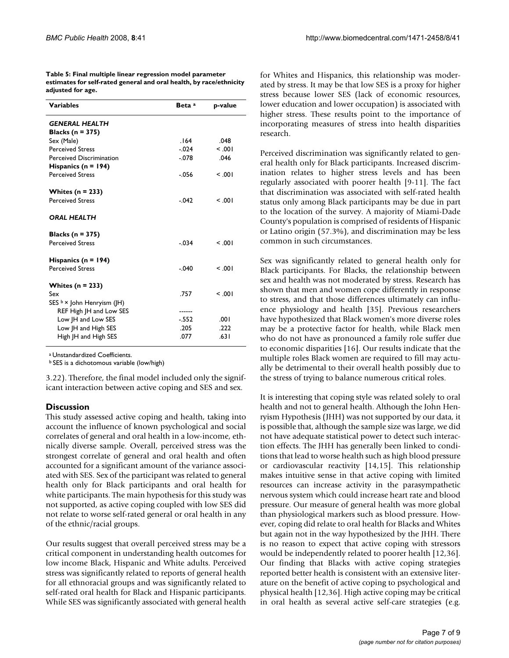**Table 5: Final multiple linear regression model parameter estimates for self-rated general and oral health, by race/ethnicity adjusted for age.**

| <b>Variables</b>                     | Beta <sup>a</sup> | p-value |
|--------------------------------------|-------------------|---------|
| <b>GENERAL HEALTH</b>                |                   |         |
| Blacks ( $n = 375$ )                 |                   |         |
| Sex (Male)                           | .164              | .048    |
| <b>Perceived Stress</b>              | $-0.024$          | < 0.01  |
| <b>Perceived Discrimination</b>      | $-078$            | .046    |
| Hispanics ( $n = 194$ )              |                   |         |
| <b>Perceived Stress</b>              | $-056$            | < 0.01  |
| Whites ( $n = 233$ )                 |                   |         |
| <b>Perceived Stress</b>              | $-042$            | < 0.01  |
| <b>ORAL HEALTH</b>                   |                   |         |
| <b>Blacks (n = 375)</b>              |                   |         |
| <b>Perceived Stress</b>              | $-0.34$           | < 0.01  |
| Hispanics ( $n = 194$ )              |                   |         |
| <b>Perceived Stress</b>              | $-0.040$          | < 0.01  |
| Whites ( $n = 233$ )                 |                   |         |
| Sex                                  | .757              | < 0.01  |
| SES $\frac{b}{x}$ John Henryism (JH) |                   |         |
| REF High IH and Low SES              | ------            |         |
| Low JH and Low SES                   | $-552$            | .001    |
| Low IH and High SES                  | .205              | .222    |
| High JH and High SES                 | .077              | .631    |

a Unstandardized Coefficients.

b SES is a dichotomous variable (low/high)

3.22). Therefore, the final model included only the significant interaction between active coping and SES and sex.

#### **Discussion**

This study assessed active coping and health, taking into account the influence of known psychological and social correlates of general and oral health in a low-income, ethnically diverse sample. Overall, perceived stress was the strongest correlate of general and oral health and often accounted for a significant amount of the variance associated with SES. Sex of the participant was related to general health only for Black participants and oral health for white participants. The main hypothesis for this study was not supported, as active coping coupled with low SES did not relate to worse self-rated general or oral health in any of the ethnic/racial groups.

Our results suggest that overall perceived stress may be a critical component in understanding health outcomes for low income Black, Hispanic and White adults. Perceived stress was significantly related to reports of general health for all ethnoracial groups and was significantly related to self-rated oral health for Black and Hispanic participants. While SES was significantly associated with general health

for Whites and Hispanics, this relationship was moderated by stress. It may be that low SES is a proxy for higher stress because lower SES (lack of economic resources, lower education and lower occupation) is associated with higher stress. These results point to the importance of incorporating measures of stress into health disparities research.

Perceived discrimination was significantly related to general health only for Black participants. Increased discrimination relates to higher stress levels and has been regularly associated with poorer health [9-11]. The fact that discrimination was associated with self-rated health status only among Black participants may be due in part to the location of the survey. A majority of Miami-Dade County's population is comprised of residents of Hispanic or Latino origin (57.3%), and discrimination may be less common in such circumstances.

Sex was significantly related to general health only for Black participants. For Blacks, the relationship between sex and health was not moderated by stress. Research has shown that men and women cope differently in response to stress, and that those differences ultimately can influence physiology and health [35]. Previous researchers have hypothesized that Black women's more diverse roles may be a protective factor for health, while Black men who do not have as pronounced a family role suffer due to economic disparities [16]. Our results indicate that the multiple roles Black women are required to fill may actually be detrimental to their overall health possibly due to the stress of trying to balance numerous critical roles.

It is interesting that coping style was related solely to oral health and not to general health. Although the John Henryism Hypothesis (JHH) was not supported by our data, it is possible that, although the sample size was large, we did not have adequate statistical power to detect such interaction effects. The JHH has generally been linked to conditions that lead to worse health such as high blood pressure or cardiovascular reactivity [14,15]. This relationship makes intuitive sense in that active coping with limited resources can increase activity in the parasympathetic nervous system which could increase heart rate and blood pressure. Our measure of general health was more global than physiological markers such as blood pressure. However, coping did relate to oral health for Blacks and Whites but again not in the way hypothesized by the JHH. There is no reason to expect that active coping with stressors would be independently related to poorer health [12,36]. Our finding that Blacks with active coping strategies reported better health is consistent with an extensive literature on the benefit of active coping to psychological and physical health [12,36]. High active coping may be critical in oral health as several active self-care strategies (e.g.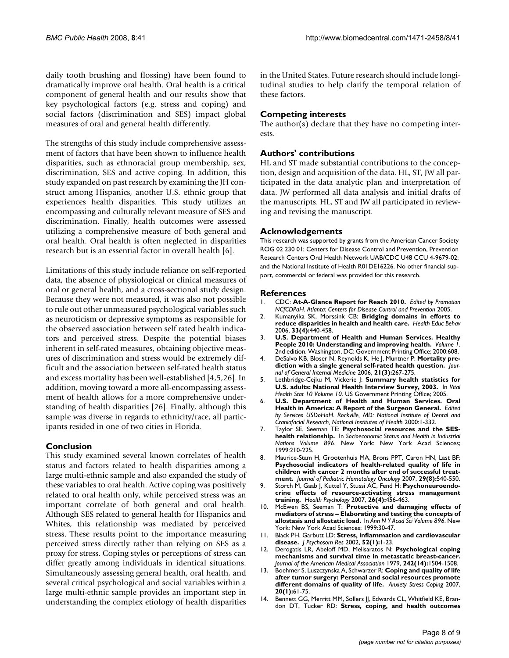daily tooth brushing and flossing) have been found to dramatically improve oral health. Oral health is a critical component of general health and our results show that key psychological factors (e.g. stress and coping) and social factors (discrimination and SES) impact global measures of oral and general health differently.

The strengths of this study include comprehensive assessment of factors that have been shown to influence health disparities, such as ethnoracial group membership, sex, discrimination, SES and active coping. In addition, this study expanded on past research by examining the JH construct among Hispanics, another U.S. ethnic group that experiences health disparities. This study utilizes an encompassing and culturally relevant measure of SES and discrimination. Finally, health outcomes were assessed utilizing a comprehensive measure of both general and oral health. Oral health is often neglected in disparities research but is an essential factor in overall health [6].

Limitations of this study include reliance on self-reported data, the absence of physiological or clinical measures of oral or general health, and a cross-sectional study design. Because they were not measured, it was also not possible to rule out other unmeasured psychological variables such as neuroticism or depressive symptoms as responsible for the observed association between self rated health indicators and perceived stress. Despite the potential biases inherent in self-rated measures, obtaining objective measures of discrimination and stress would be extremely difficult and the association between self-rated health status and excess mortality has been well-established [4,5,26]. In addition, moving toward a more all-encompassing assessment of health allows for a more comprehensive understanding of health disparities [26]. Finally, although this sample was diverse in regards to ethnicity/race, all participants resided in one of two cities in Florida.

## **Conclusion**

This study examined several known correlates of health status and factors related to health disparities among a large multi-ethnic sample and also expanded the study of these variables to oral health. Active coping was positively related to oral health only, while perceived stress was an important correlate of both general and oral health. Although SES related to general health for Hispanics and Whites, this relationship was mediated by perceived stress. These results point to the importance measuring perceived stress directly rather than relying on SES as a proxy for stress. Coping styles or perceptions of stress can differ greatly among individuals in identical situations. Simultaneously assessing general health, oral health, and several critical psychological and social variables within a large multi-ethnic sample provides an important step in understanding the complex etiology of health disparities

in the United States. Future research should include longitudinal studies to help clarify the temporal relation of these factors.

## **Competing interests**

The author(s) declare that they have no competing interests.

## **Authors' contributions**

HL and ST made substantial contributions to the conception, design and acquisition of the data. HL, ST, JW all participated in the data analytic plan and interpretation of data. JW performed all data analysis and initial drafts of the manuscripts. HL, ST and JW all participated in reviewing and revising the manuscript.

#### **Acknowledgements**

This research was supported by grants from the American Cancer Society ROG 02 230 01; Centers for Disease Control and Prevention, Prevention Research Centers Oral Health Network UAB/CDC U48 CCU 4-9679-02; and the National Institute of Health R01DE16226. No other financial support, commercial or federal was provided for this research.

#### **References**

- 1. CDC: **At-A-Glance Report for Reach 2010.** *Edited by Promotion NCfCDPaH. Atlanta: Centers for Disease Control and Prevention* 2005.
- 2. Kumanyika SK, Morssink CB: **[Bridging domains in efforts to](http://www.ncbi.nlm.nih.gov/entrez/query.fcgi?cmd=Retrieve&db=PubMed&dopt=Abstract&list_uids=16769754) [reduce disparities in health and health care.](http://www.ncbi.nlm.nih.gov/entrez/query.fcgi?cmd=Retrieve&db=PubMed&dopt=Abstract&list_uids=16769754)** *Health Educ Behav* 2006, **33(4):**440-458.
- 3. **U.S. Department of Health and Human Services. Healthy People 2010: Understanding and improving health.** *Volume 1*. 2nd edition. Washington, DC: Government Printing Office; 2000:608.
- 4. DeSalvo KB, Bloser N, Reynolds K, He J, Muntner P: **[Mortality pre](http://www.ncbi.nlm.nih.gov/entrez/query.fcgi?cmd=Retrieve&db=PubMed&dopt=Abstract&list_uids=16336622)[diction with a single general self-rated health question.](http://www.ncbi.nlm.nih.gov/entrez/query.fcgi?cmd=Retrieve&db=PubMed&dopt=Abstract&list_uids=16336622)** *Journal of General Internal Medicine* 2006, **21(3):**267-275.
- 5. Lethbridge-Cejku M, Vickerie J: **Summary health statistics for U.S. adults: National Health Interview Survey, 2003.** In *Vital Health Stat 10 Volume 10*. US Government Printing Office; 2005.
- 6. **U.S. Department of Health and Human Services. Oral Health in America: A Report of the Surgeon General.** *Edited by Services USDoHaH. Rockville, MD: National Institute of Dental and Craniofacial Research, National Institutes of Health* 2000:1-332.
- 7. Taylor SE, Seeman TE: **Psychosocial resources and the SEShealth relationship.** In *Socioeconomic Status and Health in Industrial Nations Volume 896*. New York: New York Acad Sciences; 1999:210-225.
- 8. Maurice-Stam H, Grootenhuis MA, Brons PPT, Caron HN, Last BF: **Psychosocial indicators of health-related quality of life in children with cancer 2 months after end of successful treatment.** *Journal of Pediatric Hematology Oncology* 2007, **29(8):**540-550.
- 9. Storch M, Gaab J, Kuttel Y, Stussi AC, Fend H: **[Psychoneuroendo](http://www.ncbi.nlm.nih.gov/entrez/query.fcgi?cmd=Retrieve&db=PubMed&dopt=Abstract&list_uids=17605565)[crine effects of resource-activating stress management](http://www.ncbi.nlm.nih.gov/entrez/query.fcgi?cmd=Retrieve&db=PubMed&dopt=Abstract&list_uids=17605565) [training.](http://www.ncbi.nlm.nih.gov/entrez/query.fcgi?cmd=Retrieve&db=PubMed&dopt=Abstract&list_uids=17605565)** *Health Psychology* 2007, **26(4):**456-463.
- 10. McEwen BS, Seeman T: **[Protective and damaging effects of](http://www.ncbi.nlm.nih.gov/entrez/query.fcgi?cmd=Retrieve&db=PubMed&dopt=Abstract&list_uids=10681886) [mediators of stress – Elaborating and testing the concepts of](http://www.ncbi.nlm.nih.gov/entrez/query.fcgi?cmd=Retrieve&db=PubMed&dopt=Abstract&list_uids=10681886) [allostasis and allostatic load.](http://www.ncbi.nlm.nih.gov/entrez/query.fcgi?cmd=Retrieve&db=PubMed&dopt=Abstract&list_uids=10681886)** In *Ann N Y Acad Sci Volume 896*. New York: New York Acad Sciences; 1999:30-47.
- 11. Black PH, Garbutt LD: **[Stress, inflammation and cardiovascular](http://www.ncbi.nlm.nih.gov/entrez/query.fcgi?cmd=Retrieve&db=PubMed&dopt=Abstract&list_uids=11801260) [disease.](http://www.ncbi.nlm.nih.gov/entrez/query.fcgi?cmd=Retrieve&db=PubMed&dopt=Abstract&list_uids=11801260)** *J Psychosom Res* 2002, **52(1):**1-23.
- 12. Derogatis LR, Abeloff MD, Melisaratos N: **[Psychological coping](http://www.ncbi.nlm.nih.gov/entrez/query.fcgi?cmd=Retrieve&db=PubMed&dopt=Abstract&list_uids=470087) [mechanisms and survival time in metastatic breast-cancer.](http://www.ncbi.nlm.nih.gov/entrez/query.fcgi?cmd=Retrieve&db=PubMed&dopt=Abstract&list_uids=470087)** *Journal of the American Medical Association* 1979, **242(14):**1504-1508.
- 13. Boehmer S, Luszczynska A, Schwarzer R: **[Coping and quality of life](http://www.ncbi.nlm.nih.gov/entrez/query.fcgi?cmd=Retrieve&db=PubMed&dopt=Abstract&list_uids=17999215) [after tumor surgery: Personal and social resources promote](http://www.ncbi.nlm.nih.gov/entrez/query.fcgi?cmd=Retrieve&db=PubMed&dopt=Abstract&list_uids=17999215) [different domains of quality of life.](http://www.ncbi.nlm.nih.gov/entrez/query.fcgi?cmd=Retrieve&db=PubMed&dopt=Abstract&list_uids=17999215)** *Anxiety Stress Coping* 2007, **20(1):**61-75.
- 14. Bennett GG, Merritt MM, Sollers JJ, Edwards CL, Whitfield KE, Brandon DT, Tucker RD: **Stress, coping, and health outcomes**